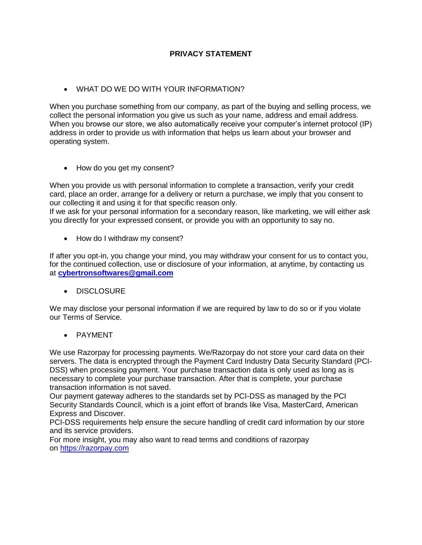## **PRIVACY STATEMENT**

WHAT DO WE DO WITH YOUR INFORMATION?

When you purchase something from our company, as part of the buying and selling process, we collect the personal information you give us such as your name, address and email address. When you browse our store, we also automatically receive your computer's internet protocol (IP) address in order to provide us with information that helps us learn about your browser and operating system.

• How do you get my consent?

When you provide us with personal information to complete a transaction, verify your credit card, place an order, arrange for a delivery or return a purchase, we imply that you consent to our collecting it and using it for that specific reason only.

If we ask for your personal information for a secondary reason, like marketing, we will either ask you directly for your expressed consent, or provide you with an opportunity to say no.

• How do I withdraw my consent?

If after you opt-in, you change your mind, you may withdraw your consent for us to contact you, for the continued collection, use or disclosure of your information, at anytime, by contacting us at **[cybertronsoftwares@gmail.com](mailto:cybertronsoftwares@gmail.com)**

• DISCLOSURE

We may disclose your personal information if we are required by law to do so or if you violate our Terms of Service.

PAYMENT

We use Razorpay for processing payments. We/Razorpay do not store your card data on their servers. The data is encrypted through the Payment Card Industry Data Security Standard (PCI-DSS) when processing payment. Your purchase transaction data is only used as long as is necessary to complete your purchase transaction. After that is complete, your purchase transaction information is not saved.

Our payment gateway adheres to the standards set by PCI-DSS as managed by the PCI Security Standards Council, which is a joint effort of brands like Visa, MasterCard, American Express and Discover.

PCI-DSS requirements help ensure the secure handling of credit card information by our store and its service providers.

For more insight, you may also want to read terms and conditions of razorpay on [https://razorpay.com](https://www.google.com/url?q=https://razorpay.com&sa=D&source=editors&ust=1618071275012000&usg=AOvVaw1d2Z2Zw52isyL8oiCNIFQd)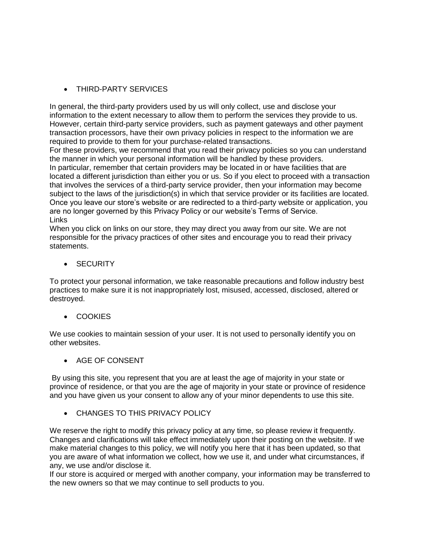• THIRD-PARTY SERVICES

In general, the third-party providers used by us will only collect, use and disclose your information to the extent necessary to allow them to perform the services they provide to us. However, certain third-party service providers, such as payment gateways and other payment transaction processors, have their own privacy policies in respect to the information we are required to provide to them for your purchase-related transactions.

For these providers, we recommend that you read their privacy policies so you can understand the manner in which your personal information will be handled by these providers. In particular, remember that certain providers may be located in or have facilities that are located a different jurisdiction than either you or us. So if you elect to proceed with a transaction that involves the services of a third-party service provider, then your information may become subject to the laws of the jurisdiction(s) in which that service provider or its facilities are located. Once you leave our store's website or are redirected to a third-party website or application, you are no longer governed by this Privacy Policy or our website's Terms of Service. Links

When you click on links on our store, they may direct you away from our site. We are not responsible for the privacy practices of other sites and encourage you to read their privacy statements.

**SECURITY** 

To protect your personal information, we take reasonable precautions and follow industry best practices to make sure it is not inappropriately lost, misused, accessed, disclosed, altered or destroyed.

• COOKIES

We use cookies to maintain session of your user. It is not used to personally identify you on other websites.

• AGE OF CONSENT

By using this site, you represent that you are at least the age of majority in your state or province of residence, or that you are the age of majority in your state or province of residence and you have given us your consent to allow any of your minor dependents to use this site.

CHANGES TO THIS PRIVACY POLICY

We reserve the right to modify this privacy policy at any time, so please review it frequently. Changes and clarifications will take effect immediately upon their posting on the website. If we make material changes to this policy, we will notify you here that it has been updated, so that you are aware of what information we collect, how we use it, and under what circumstances, if any, we use and/or disclose it.

If our store is acquired or merged with another company, your information may be transferred to the new owners so that we may continue to sell products to you.